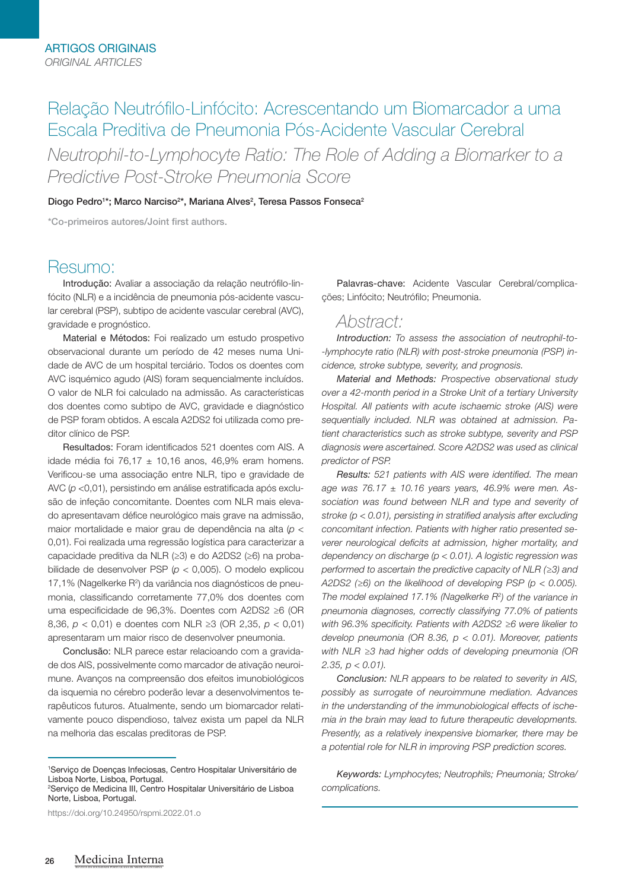# Relação Neutrófilo-Linfócito: Acrescentando um Biomarcador a uma Escala Preditiva de Pneumonia Pós-Acidente Vascular Cerebral

*Neutrophil-to-Lymphocyte Ratio: The Role of Adding a Biomarker to a Predictive Post-Stroke Pneumonia Score*

Diogo Pedro<sup>1\*</sup>; Marco Narciso<sup>2\*</sup>, Mariana Alves<sup>2</sup>, Teresa Passos Fonseca<sup>2</sup>

\*Co-primeiros autores/Joint first authors.

# Resumo:

Introdução: Avaliar a associação da relação neutrófilo-linfócito (NLR) e a incidência de pneumonia pós-acidente vascular cerebral (PSP), subtipo de acidente vascular cerebral (AVC), gravidade e prognóstico.

Material e Métodos: Foi realizado um estudo prospetivo observacional durante um período de 42 meses numa Unidade de AVC de um hospital terciário. Todos os doentes com AVC isquémico agudo (AIS) foram sequencialmente incluídos. O valor de NLR foi calculado na admissão. As características dos doentes como subtipo de AVC, gravidade e diagnóstico de PSP foram obtidos. A escala A2DS2 foi utilizada como preditor clínico de PSP.

Resultados: Foram identificados 521 doentes com AIS. A idade média foi 76,17  $\pm$  10,16 anos, 46,9% eram homens. Verificou-se uma associação entre NLR, tipo e gravidade de AVC (*p* <0,01), persistindo em análise estratificada após exclusão de infeção concomitante. Doentes com NLR mais elevado apresentavam défice neurológico mais grave na admissão, maior mortalidade e maior grau de dependência na alta (*p* < 0,01). Foi realizada uma regressão logística para caracterizar a capacidade preditiva da NLR (≥3) e do A2DS2 (≥6) na probabilidade de desenvolver PSP (*p* < 0,005). O modelo explicou 17,1% (Nagelkerke R<sup>2</sup>) da variância nos diagnósticos de pneumonia, classificando corretamente 77,0% dos doentes com uma especificidade de 96,3%. Doentes com A2DS2 ≥6 (OR 8,36, *p* < 0,01) e doentes com NLR ≥3 (OR 2,35, *p* < 0,01) apresentaram um maior risco de desenvolver pneumonia.

Conclusão: NLR parece estar relacioando com a gravidade dos AIS, possivelmente como marcador de ativação neuroimune. Avanços na compreensão dos efeitos imunobiológicos da isquemia no cérebro poderão levar a desenvolvimentos terapêuticos futuros. Atualmente, sendo um biomarcador relativamente pouco dispendioso, talvez exista um papel da NLR na melhoria das escalas preditoras de PSP.

1 Serviço de Doenças Infeciosas, Centro Hospitalar Universitário de Lisboa Norte, Lisboa, Portugal.

2 Serviço de Medicina III, Centro Hospitalar Universitário de Lisboa Norte, Lisboa, Portugal.

https://doi.org/10.24950/rspmi.2022.01.o

Palavras-chave: Acidente Vascular Cerebral/complicações; Linfócito; Neutrófilo; Pneumonia.

## *Abstract:*

*Introduction: To assess the association of neutrophil-to- -lymphocyte ratio (NLR) with post-stroke pneumonia (PSP) incidence, stroke subtype, severity, and prognosis.* 

*Material and Methods: Prospective observational study over a 42-month period in a Stroke Unit of a tertiary University Hospital. All patients with acute ischaemic stroke (AIS) were sequentially included. NLR was obtained at admission. Patient characteristics such as stroke subtype, severity and PSP diagnosis were ascertained. Score A2DS2 was used as clinical predictor of PSP.* 

*Results: 521 patients with AIS were identified. The mean age was 76.17 ± 10.16 years years, 46.9% were men. Association was found between NLR and type and severity of stroke (p < 0.01), persisting in stratified analysis after excluding concomitant infection. Patients with higher ratio presented severer neurological deficits at admission, higher mortality, and dependency on discharge (p < 0.01). A logistic regression was performed to ascertain the predictive capacity of NLR (≥3) and A2DS2 (≥6) on the likelihood of developing PSP (p < 0.005). The model explained 17.1% (Nagelkerke R2 ) of the variance in pneumonia diagnoses, correctly classifying 77.0% of patients with 96.3% specificity. Patients with A2DS2 ≥6 were likelier to develop pneumonia (OR 8.36, p < 0.01). Moreover, patients with NLR ≥3 had higher odds of developing pneumonia (OR 2.35, p < 0.01).*

*Conclusion: NLR appears to be related to severity in AIS, possibly as surrogate of neuroimmune mediation. Advances in the understanding of the immunobiological effects of ischemia in the brain may lead to future therapeutic developments. Presently, as a relatively inexpensive biomarker, there may be a potential role for NLR in improving PSP prediction scores.*

*Keywords: Lymphocytes; Neutrophils; Pneumonia; Stroke/ complications.*

REVISTA DA SOCIEDADE PORTUGUESA DE MEDICINA INTERNA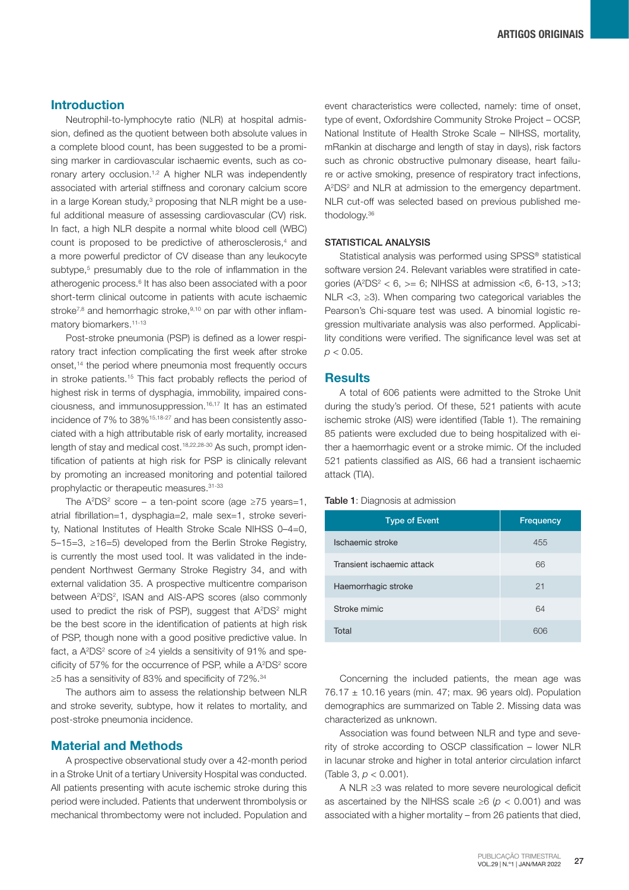## Introduction

Neutrophil-to-lymphocyte ratio (NLR) at hospital admission, defined as the quotient between both absolute values in a complete blood count, has been suggested to be a promising marker in cardiovascular ischaemic events, such as coronary artery occlusion.<sup>1,2</sup> A higher NLR was independently associated with arterial stiffness and coronary calcium score in a large Korean study,<sup>3</sup> proposing that NLR might be a useful additional measure of assessing cardiovascular (CV) risk. In fact, a high NLR despite a normal white blood cell (WBC) count is proposed to be predictive of atherosclerosis,<sup>4</sup> and a more powerful predictor of CV disease than any leukocyte subtype,<sup>5</sup> presumably due to the role of inflammation in the atherogenic process.<sup>6</sup> It has also been associated with a poor short-term clinical outcome in patients with acute ischaemic stroke<sup>7,8</sup> and hemorrhagic stroke,<sup>9,10</sup> on par with other inflammatory biomarkers.<sup>11-13</sup>

Post-stroke pneumonia (PSP) is defined as a lower respiratory tract infection complicating the first week after stroke onset,<sup>14</sup> the period where pneumonia most frequently occurs in stroke patients.15 This fact probably reflects the period of highest risk in terms of dysphagia, immobility, impaired consciousness, and immunosuppression.16,17 It has an estimated incidence of 7% to 38%15,18-27 and has been consistently associated with a high attributable risk of early mortality, increased length of stay and medical cost.18,22,28-30 As such, prompt identification of patients at high risk for PSP is clinically relevant by promoting an increased monitoring and potential tailored prophylactic or therapeutic measures.31-33

The  $A^2DS^2$  score – a ten-point score (age  $\geq 75$  years=1, atrial fibrillation=1, dysphagia=2, male sex=1, stroke severity, National Institutes of Health Stroke Scale NIHSS 0–4=0, 5–15=3, ≥16=5) developed from the Berlin Stroke Registry, is currently the most used tool. It was validated in the independent Northwest Germany Stroke Registry 34, and with external validation 35. A prospective multicentre comparison between A<sup>2</sup>DS<sup>2</sup>, ISAN and AIS-APS scores (also commonly used to predict the risk of PSP), suggest that A<sup>2</sup>DS<sup>2</sup> might be the best score in the identification of patients at high risk of PSP, though none with a good positive predictive value. In fact, a  $A^2DS^2$  score of  $\geq 4$  yields a sensitivity of 91% and specificity of 57% for the occurrence of PSP, while a  $A^2DS^2$  score ≥5 has a sensitivity of 83% and specificity of 72%.34

The authors aim to assess the relationship between NLR and stroke severity, subtype, how it relates to mortality, and post-stroke pneumonia incidence.

## Material and Methods

A prospective observational study over a 42-month period in a Stroke Unit of a tertiary University Hospital was conducted. All patients presenting with acute ischemic stroke during this period were included. Patients that underwent thrombolysis or mechanical thrombectomy were not included. Population and

event characteristics were collected, namely: time of onset, type of event, Oxfordshire Community Stroke Project – OCSP, National Institute of Health Stroke Scale – NIHSS, mortality, mRankin at discharge and length of stay in days), risk factors such as chronic obstructive pulmonary disease, heart failure or active smoking, presence of respiratory tract infections, A<sup>2</sup>DS<sup>2</sup> and NLR at admission to the emergency department. NLR cut-off was selected based on previous published methodology.36

#### STATISTICAL ANALYSIS

Statistical analysis was performed using SPSS® statistical software version 24. Relevant variables were stratified in categories ( $A^2DS^2 < 6$ ,  $>= 6$ ; NIHSS at admission <6, 6-13, >13; NLR <3, ≥3). When comparing two categorical variables the Pearson's Chi-square test was used. A binomial logistic regression multivariate analysis was also performed. Applicability conditions were verified. The significance level was set at  $p < 0.05$ .

## **Results**

A total of 606 patients were admitted to the Stroke Unit during the study's period. Of these, 521 patients with acute ischemic stroke (AIS) were identified (Table 1). The remaining 85 patients were excluded due to being hospitalized with either a haemorrhagic event or a stroke mimic. Of the included 521 patients classified as AIS, 66 had a transient ischaemic attack (TIA).

#### Table 1: Diagnosis at admission

| <b>Type of Event</b>       | Frequency |  |
|----------------------------|-----------|--|
| Ischaemic stroke           | 455       |  |
| Transient ischaemic attack | 66        |  |
| Haemorrhagic stroke        | 21        |  |
| Stroke mimic               | 64        |  |
| Total                      | 606       |  |

Concerning the included patients, the mean age was  $76.17 \pm 10.16$  years (min. 47; max. 96 years old). Population demographics are summarized on Table 2. Missing data was characterized as unknown.

Association was found between NLR and type and severity of stroke according to OSCP classification – lower NLR in lacunar stroke and higher in total anterior circulation infarct (Table 3, *p* < 0.001).

A NLR ≥3 was related to more severe neurological deficit as ascertained by the NIHSS scale ≥6 (*p* < 0.001) and was associated with a higher mortality – from 26 patients that died,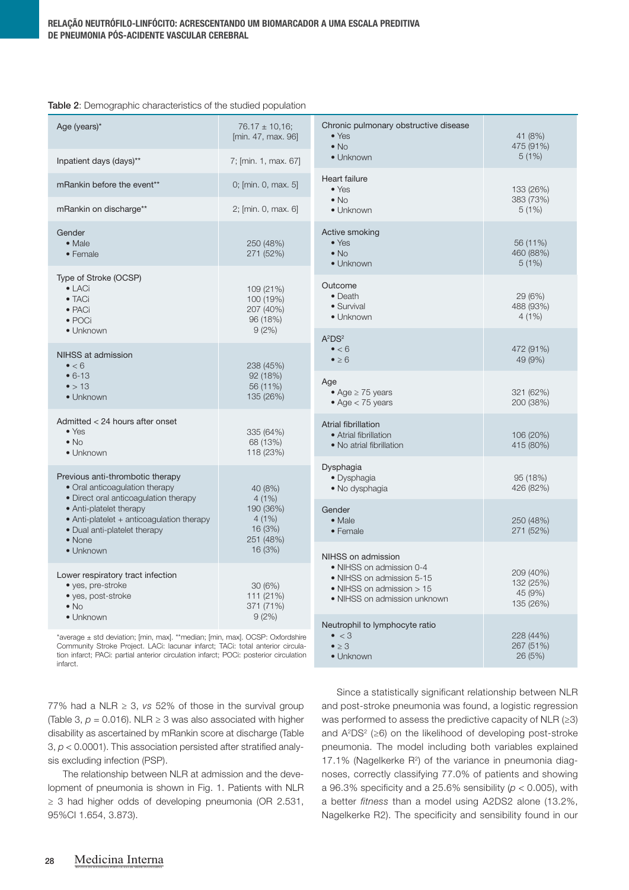| Table 2: Demographic characteristics of the studied population |
|----------------------------------------------------------------|
|----------------------------------------------------------------|

| Age (years)*                                                                                                                                                                                                                                                                   | $76.17 \pm 10,16$ ;<br>[min. 47, max. 96]                                                                     | Chronic pulmonary obstructive disease<br>$\bullet$ Yes<br>$\bullet$ No                                             | 41 (8%)<br>475 (91%)                           |
|--------------------------------------------------------------------------------------------------------------------------------------------------------------------------------------------------------------------------------------------------------------------------------|---------------------------------------------------------------------------------------------------------------|--------------------------------------------------------------------------------------------------------------------|------------------------------------------------|
| Inpatient days (days)**                                                                                                                                                                                                                                                        | 7; [min. 1, max. 67]                                                                                          | • Unknown                                                                                                          | 5(1%)                                          |
| mRankin before the event**                                                                                                                                                                                                                                                     | 0; [min. 0, max. 5]                                                                                           | Heart failure<br>$\bullet$ Yes                                                                                     | 133 (26%)<br>383 (73%)<br>5(1%)                |
| mRankin on discharge**                                                                                                                                                                                                                                                         | 2; [min. 0, max. 6]                                                                                           | $\bullet$ No<br>· Unknown                                                                                          |                                                |
| Gender<br>$\bullet$ Male<br>• Female                                                                                                                                                                                                                                           | 250 (48%)<br>271 (52%)                                                                                        | Active smoking<br>$\bullet$ Yes<br>$\bullet$ No<br>• Unknown                                                       | 56 (11%)<br>460 (88%)<br>5(1%)                 |
| Type of Stroke (OCSP)<br>$\bullet$ LACi<br>$\bullet$ TACi<br>$\bullet$ PACi<br>$\bullet$ POCi                                                                                                                                                                                  | 109 (21%)<br>100 (19%)<br>207 (40%)<br>96 (18%)<br>9(2%)                                                      | Outcome<br>• Death<br>· Survival<br>• Unknown                                                                      | 29 (6%)<br>488 (93%)<br>4(1%)                  |
| · Unknown<br>NIHSS at admission<br>$\bullet$ < 6<br>$• 6-13$<br>$\bullet$ > 13<br>• Unknown                                                                                                                                                                                    | 238 (45%)<br>92 (18%)<br>56 (11%)<br>135 (26%)                                                                | $A^2DS^2$<br>$\bullet$ < 6<br>$\bullet \geq 6$                                                                     | 472 (91%)<br>49 (9%)                           |
|                                                                                                                                                                                                                                                                                |                                                                                                               | Age<br>• Age $\geq$ 75 years<br>$\bullet$ Age $<$ 75 years                                                         | 321 (62%)<br>200 (38%)                         |
| Admitted < 24 hours after onset<br>$\bullet$ Yes<br>$\bullet$ No<br>• Unknown                                                                                                                                                                                                  | 335 (64%)<br>68 (13%)<br>118 (23%)                                                                            | <b>Atrial fibrillation</b><br>• Atrial fibrillation<br>• No atrial fibrillation                                    | 106 (20%)<br>415 (80%)                         |
| Previous anti-thrombotic therapy<br>• Oral anticoagulation therapy<br>• Direct oral anticoagulation therapy<br>• Anti-platelet therapy<br>• Anti-platelet + anticoagulation therapy<br>• Dual anti-platelet therapy<br>• None                                                  | 40 (8%)<br>4(1%)<br>190 (36%)<br>4(1%)<br>16 (3%)<br>251 (48%)<br>16 (3%)<br>30(6%)<br>111 (21%)<br>371 (71%) | Dysphagia<br>• Dysphagia<br>• No dysphagia                                                                         | 95 (18%)<br>426 (82%)                          |
|                                                                                                                                                                                                                                                                                |                                                                                                               | Gender<br>• Male<br>• Female                                                                                       | 250 (48%)<br>271 (52%)                         |
| • Unknown                                                                                                                                                                                                                                                                      |                                                                                                               | NIHSS on admission                                                                                                 |                                                |
| Lower respiratory tract infection<br>• yes, pre-stroke<br>• yes, post-stroke<br>$\bullet$ No                                                                                                                                                                                   |                                                                                                               | • NIHSS on admission 0-4<br>• NIHSS on admission 5-15<br>• NIHSS on admission > 15<br>• NIHSS on admission unknown | 209 (40%)<br>132 (25%)<br>45 (9%)<br>135 (26%) |
| 9(2%)<br>• Unknown<br>*average ± std deviation; [min, max]. **median; [min, max]. OCSP: Oxfordshire<br>Community Stroke Project. LACi: lacunar infarct; TACi: total anterior circula-<br>tion infarct; PACi: partial anterior circulation infarct; POCi: posterior circulation |                                                                                                               | Neutrophil to lymphocyte ratio<br>$\bullet$ < 3<br>$\bullet \geq 3$<br>$\bullet$ Unknown                           | 228 (44%)<br>267 (51%)<br>26 (5%)              |

tion infarct; PACi: partial anterior circulation infarct; POCi: posterior circulation infarct.

> Since a statistically significant relationship between NLR and post-stroke pneumonia was found, a logistic regression was performed to assess the predictive capacity of NLR (≥3) and A2DS2 (≥6) on the likelihood of developing post-stroke pneumonia. The model including both variables explained 17.1% (Nagelkerke  $R^2$ ) of the variance in pneumonia diagnoses, correctly classifying 77.0% of patients and showing a 96.3% specificity and a 25.6% sensibility (*p* < 0.005), with a better *fitness* than a model using A2DS2 alone (13.2%, Nagelkerke R2). The specificity and sensibility found in our

(Table 3,  $p = 0.016$ ). NLR  $\geq$  3 was also associated with higher disability as ascertained by mRankin score at discharge (Table 3, *p* < 0.0001). This association persisted after stratified analysis excluding infection (PSP). The relationship between NLR at admission and the deve-

77% had a NLR  $\geq$  3, *vs* 52% of those in the survival group

lopment of pneumonia is shown in Fig. 1. Patients with NLR ≥ 3 had higher odds of developing pneumonia (OR 2.531, 95%CI 1.654, 3.873).

REVISTA DA SOCIEDADE PORTUGUESA DE MEDICINA INTERNA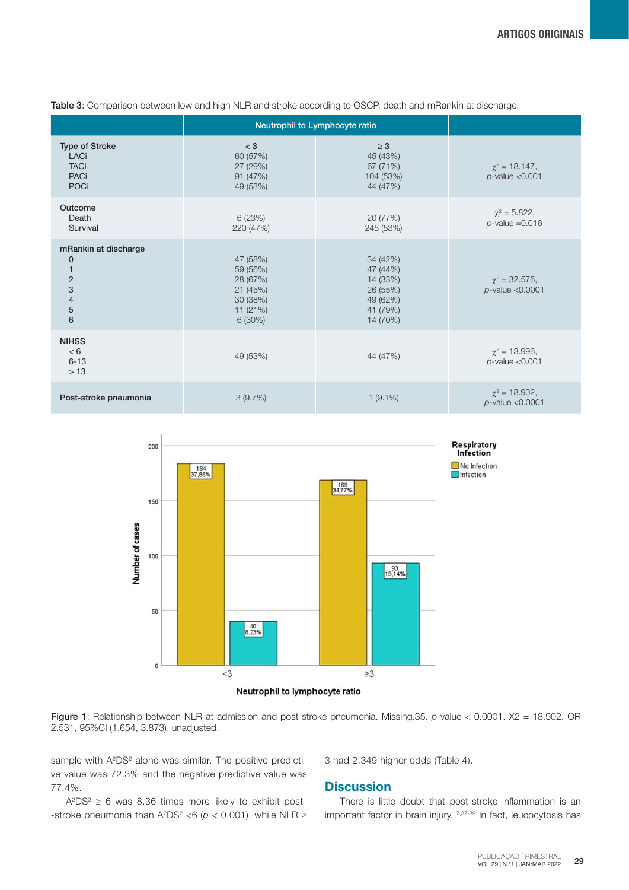|                                                                                                             | Neutrophil to Lymphocyte ratio                                                    |                                                                                  |                                             |
|-------------------------------------------------------------------------------------------------------------|-----------------------------------------------------------------------------------|----------------------------------------------------------------------------------|---------------------------------------------|
| <b>Type of Stroke</b><br><b>LACi</b><br><b>TACi</b><br><b>PACi</b><br><b>POCi</b>                           | $<$ 3<br>60 (57%)<br>27 (29%)<br>91 (47%)<br>49 (53%)                             | $\geq 3$<br>45 (43%)<br>67 (71%)<br>104 (53%)<br>44 (47%)                        | $\chi^2$ = 18.147,<br>$p$ -value < $0.001$  |
| Outcome<br>Death<br>Survival                                                                                | 6(23%)<br>220 (47%)                                                               | 20 (77%)<br>245 (53%)                                                            | $\chi^2 = 5.822$ ,<br>$p$ -value = 0.016    |
| mRankin at discharge<br>$\mathbf 0$<br>$\mathbf{1}$<br>$\sqrt{2}$<br>3<br>$\overline{4}$<br>$\sqrt{5}$<br>6 | 47 (58%)<br>59 (56%)<br>28 (67%)<br>21 (45%)<br>30 (38%)<br>11 (21%)<br>$6(30\%)$ | 34 (42%)<br>47 (44%)<br>14 (33%)<br>26 (55%)<br>49 (62%)<br>41 (79%)<br>14 (70%) | $\chi^2$ = 32.576,<br>$p$ -value < $0.0001$ |
| <b>NIHSS</b><br>< 6<br>$6 - 13$<br>>13                                                                      | 49 (53%)                                                                          | 44 (47%)                                                                         | $\chi^2$ = 13.996,<br>$p$ -value < $0.001$  |
| Post-stroke pneumonia                                                                                       | 3(9.7%)                                                                           | $1(9.1\%)$                                                                       | $\chi^2$ = 18.902,<br>$p$ -value < $0.0001$ |

Table 3: Comparison between low and high NLR and stroke according to OSCP, death and mRankin at discharge.





sample with A<sup>2</sup>DS<sup>2</sup> alone was similar. The positive predictive value was 72.3% and the negative predictive value was 77.4%.

 $A^2DS^2 \geq 6$  was 8.36 times more likely to exhibit post--stroke pneumonia than  $A^2DS^2 < 6$  ( $p < 0.001$ ), while NLR ≥ 3 had 2.349 higher odds (Table 4).

## **Discussion**

There is little doubt that post-stroke inflammation is an important factor in brain injury.17,37-39 In fact, leucocytosis has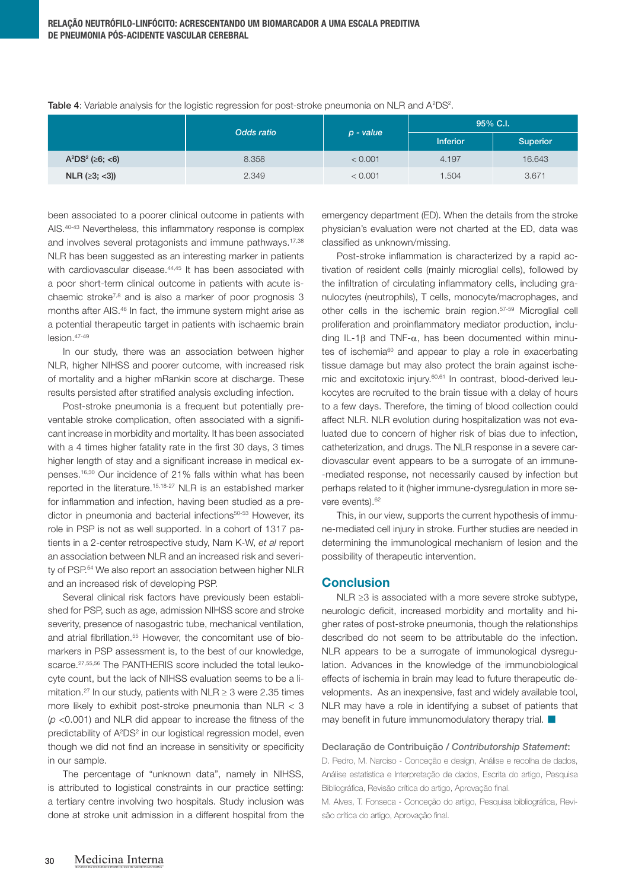Table 4: Variable analysis for the logistic regression for post-stroke pneumonia on NLR and  $A^2DS^2$ .

|                            | Odds ratio | $p$ - value | 95% C.I.        |          |
|----------------------------|------------|-------------|-----------------|----------|
|                            |            |             | <b>Inferior</b> | Superior |
| $A^2DS^2$ ( $\geq 6$ ; <6) | 8.358      | < 0.001     | 4.197           | 16.643   |
| $NLR$ ( $\geq$ 3; <3))     | 2.349      | < 0.001     | 1.504           | 3.671    |

been associated to a poorer clinical outcome in patients with AIS.40-43 Nevertheless, this inflammatory response is complex and involves several protagonists and immune pathways.<sup>17,38</sup> NLR has been suggested as an interesting marker in patients with cardiovascular disease.<sup>44,45</sup> It has been associated with a poor short-term clinical outcome in patients with acute ischaemic stroke7,8 and is also a marker of poor prognosis 3 months after AIS.46 In fact, the immune system might arise as a potential therapeutic target in patients with ischaemic brain lesion.47-49

In our study, there was an association between higher NLR, higher NIHSS and poorer outcome, with increased risk of mortality and a higher mRankin score at discharge. These results persisted after stratified analysis excluding infection.

Post-stroke pneumonia is a frequent but potentially preventable stroke complication, often associated with a significant increase in morbidity and mortality. It has been associated with a 4 times higher fatality rate in the first 30 days, 3 times higher length of stay and a significant increase in medical expenses.16,30 Our incidence of 21% falls within what has been reported in the literature.15,18-27 NLR is an established marker for inflammation and infection, having been studied as a predictor in pneumonia and bacterial infections<sup>50-53</sup> However, its role in PSP is not as well supported. In a cohort of 1317 patients in a 2-center retrospective study, Nam K-W, *et al* report an association between NLR and an increased risk and severity of PSP.54 We also report an association between higher NLR and an increased risk of developing PSP.

Several clinical risk factors have previously been established for PSP, such as age, admission NIHSS score and stroke severity, presence of nasogastric tube, mechanical ventilation, and atrial fibrillation.<sup>55</sup> However, the concomitant use of biomarkers in PSP assessment is, to the best of our knowledge, scarce.<sup>27,55,56</sup> The PANTHERIS score included the total leukocyte count, but the lack of NIHSS evaluation seems to be a limitation.<sup>27</sup> In our study, patients with NLR  $\geq$  3 were 2.35 times more likely to exhibit post-stroke pneumonia than NLR < 3 (*p* <0.001) and NLR did appear to increase the fitness of the predictability of A<sup>2</sup>DS<sup>2</sup> in our logistical regression model, even though we did not find an increase in sensitivity or specificity in our sample.

The percentage of "unknown data", namely in NIHSS, is attributed to logistical constraints in our practice setting: a tertiary centre involving two hospitals. Study inclusion was done at stroke unit admission in a different hospital from the

emergency department (ED). When the details from the stroke physician's evaluation were not charted at the ED, data was classified as unknown/missing.

Post-stroke inflammation is characterized by a rapid activation of resident cells (mainly microglial cells), followed by the infiltration of circulating inflammatory cells, including granulocytes (neutrophils), T cells, monocyte/macrophages, and other cells in the ischemic brain region.57-59 Microglial cell proliferation and proinflammatory mediator production, including IL-1β and TNF- $\alpha$ , has been documented within minutes of ischemia<sup>60</sup> and appear to play a role in exacerbating tissue damage but may also protect the brain against ischemic and excitotoxic injury.60,61 In contrast, blood-derived leukocytes are recruited to the brain tissue with a delay of hours to a few days. Therefore, the timing of blood collection could affect NLR. NLR evolution during hospitalization was not evaluated due to concern of higher risk of bias due to infection, catheterization, and drugs. The NLR response in a severe cardiovascular event appears to be a surrogate of an immune- -mediated response, not necessarily caused by infection but perhaps related to it (higher immune-dysregulation in more severe events).<sup>62</sup>

This, in our view, supports the current hypothesis of immune-mediated cell injury in stroke. Further studies are needed in determining the immunological mechanism of lesion and the possibility of therapeutic intervention.

## **Conclusion**

NLR ≥3 is associated with a more severe stroke subtype, neurologic deficit, increased morbidity and mortality and higher rates of post-stroke pneumonia, though the relationships described do not seem to be attributable do the infection. NLR appears to be a surrogate of immunological dysregulation. Advances in the knowledge of the immunobiological effects of ischemia in brain may lead to future therapeutic developments. As an inexpensive, fast and widely available tool, NLR may have a role in identifying a subset of patients that may benefit in future immunomodulatory therapy trial.

## Declaração de Contribuição / *Contributorship Statement*:

D. Pedro, M. Narciso - Conceção e design, Análise e recolha de dados, Análise estatística e Interpretação de dados, Escrita do artigo, Pesquisa Bibliográfica, Revisão crítica do artigo, Aprovação final.

M. Alves, T. Fonseca - Conceção do artigo, Pesquisa bibliográfica, Revisão crítica do artigo, Aprovação final.

REVISTA DA SOCIEDADE PORTUGUESA DE MEDICINA INTERNA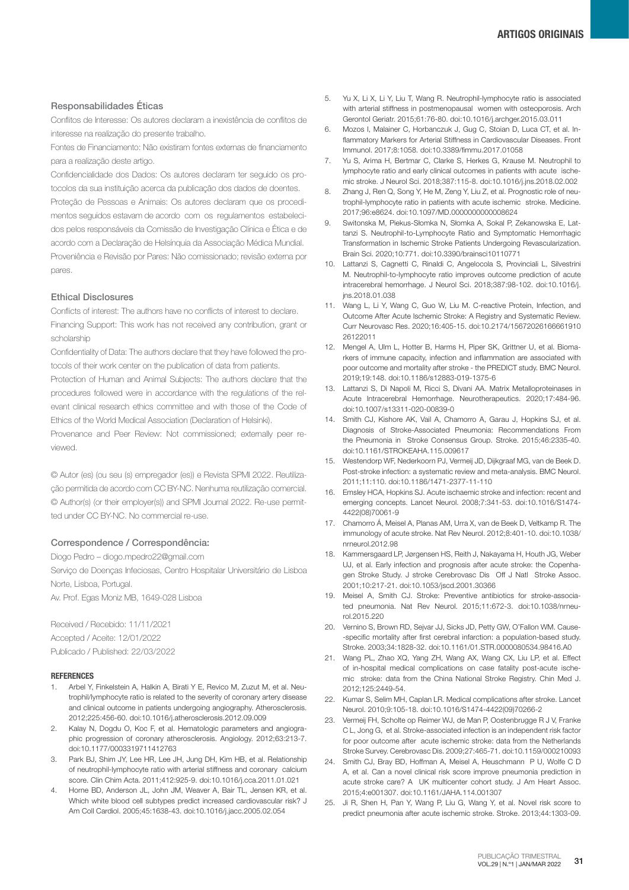### Responsabilidades Éticas

Conflitos de Interesse: Os autores declaram a inexistência de conflitos de interesse na realização do presente trabalho.

Fontes de Financiamento: Não existiram fontes externas de financiamento para a realização deste artigo.

Confidencialidade dos Dados: Os autores declaram ter seguido os protocolos da sua instituição acerca da publicação dos dados de doentes.

Proteção de Pessoas e Animais: Os autores declaram que os procedimentos seguidos estavam de acordo com os regulamentos estabelecidos pelos responsáveis da Comissão de Investigação Clínica e Ética e de acordo com a Declaração de Helsínquia da Associação Médica Mundial. Proveniência e Revisão por Pares: Não comissionado; revisão externa por pares.

#### Ethical Disclosures

Conflicts of interest: The authors have no conflicts of interest to declare. Financing Support: This work has not received any contribution, grant or scholarship

Confidentiality of Data: The authors declare that they have followed the protocols of their work center on the publication of data from patients.

Protection of Human and Animal Subjects: The authors declare that the procedures followed were in accordance with the regulations of the relevant clinical research ethics committee and with those of the Code of Ethics of the World Medical Association (Declaration of Helsinki).

Provenance and Peer Review: Not commissioned; externally peer reviewed.

© Autor (es) (ou seu (s) empregador (es)) e Revista SPMI 2022. Reutilização permitida de acordo com CC BY-NC. Nenhuma reutilização comercial. © Author(s) (or their employer(s)) and SPMI Journal 2022. Re-use permitted under CC BY-NC. No commercial re-use.

#### Correspondence / Correspondência:

Diogo Pedro – diogo.mpedro22@gmail.com

Serviço de Doenças Infeciosas, Centro Hospitalar Universitário de Lisboa Norte, Lisboa, Portugal.

Av. Prof. Egas Moniz MB, 1649-028 Lisboa

Received / Recebido: 11/11/2021 Accepted / Aceite: 12/01/2022 Publicado / Published: 22/03/2022

#### **REFERENCES**

- Arbel Y, Finkelstein A, Halkin A, Birati Y E, Revico M, Zuzut M, et al. Neutrophil/lymphocyte ratio is related to the severity of coronary artery disease and clinical outcome in patients undergoing angiography. Atherosclerosis. 2012;225:456-60. doi:10.1016/j.atherosclerosis.2012.09.009
- 2. Kalay N, Dogdu O, Koc F, et al. Hematologic parameters and angiographic progression of coronary atherosclerosis. Angiology. 2012;63:213-7. doi:10.1177/0003319711412763
- 3. Park BJ, Shim JY, Lee HR, Lee JH, Jung DH, Kim HB, et al. Relationship of neutrophil-lymphocyte ratio with arterial stiffness and coronary calcium score. Clin Chim Acta. 2011;412:925-9. doi:10.1016/j.cca.2011.01.021
- 4. Horne BD, Anderson JL, John JM, Weaver A, Bair TL, Jensen KR, et al. Which white blood cell subtypes predict increased cardiovascular risk? J Am Coll Cardiol. 2005;45:1638-43. doi:10.1016/j.jacc.2005.02.054
- 5. Yu X, Li X, Li Y, Liu T, Wang R. Neutrophil-lymphocyte ratio is associated with arterial stiffness in postmenopausal women with osteoporosis. Arch Gerontol Geriatr. 2015;61:76-80. doi:10.1016/j.archger.2015.03.011
- 6. Mozos I, Malainer C, Horbanczuk J, Gug C, Stoian D, Luca CT, et al. Inflammatory Markers for Arterial Stiffness in Cardiovascular Diseases. Front Immunol. 2017;8:1058. doi:10.3389/fimmu.2017.01058
- 7. Yu S, Arima H, Bertmar C, Clarke S, Herkes G, Krause M. Neutrophil to lymphocyte ratio and early clinical outcomes in patients with acute ischemic stroke. J Neurol Sci. 2018;387:115-8. doi:10.1016/j.jns.2018.02.002
- 8. Zhang J, Ren Q, Song Y, He M, Zeng Y, Liu Z, et al. Prognostic role of neutrophil-lymphocyte ratio in patients with acute ischemic stroke. Medicine. 2017;96:e8624. doi:10.1097/MD.0000000000008624
- 9. Switonska M, Piekus-Słomka N, Słomka A, Sokal P, Zekanowska E, Lattanzi S. Neutrophil-to-Lymphocyte Ratio and Symptomatic Hemorrhagic Transformation in Ischemic Stroke Patients Undergoing Revascularization. Brain Sci. 2020;10:771. doi:10.3390/brainsci10110771
- 10. Lattanzi S, Cagnetti C, Rinaldi C, Angelocola S, Provinciali L, Silvestrini M. Neutrophil-to-lymphocyte ratio improves outcome prediction of acute intracerebral hemorrhage. J Neurol Sci. 2018;387:98-102. doi:10.1016/j. jns.2018.01.038
- 11. Wang L, Li Y, Wang C, Guo W, Liu M. C-reactive Protein, Infection, and Outcome After Acute Ischemic Stroke: A Registry and Systematic Review. Curr Neurovasc Res. 2020;16:405-15. doi:10.2174/15672026166661910 26122011
- 12. Mengel A, Ulm L, Hotter B, Harms H, Piper SK, Grittner U, et al. Biomarkers of immune capacity, infection and inflammation are associated with poor outcome and mortality after stroke - the PREDICT study. BMC Neurol. 2019;19:148. doi:10.1186/s12883-019-1375-6
- 13. Lattanzi S, Di Napoli M, Ricci S, Divani AA. Matrix Metalloproteinases in Acute Intracerebral Hemorrhage. Neurotherapeutics. 2020;17:484-96. doi:10.1007/s13311-020-00839-0
- 14. Smith CJ, Kishore AK, Vail A, Chamorro A, Garau J, Hopkins SJ, et al. Diagnosis of Stroke-Associated Pneumonia: Recommendations From the Pneumonia in Stroke Consensus Group. Stroke. 2015;46:2335-40. doi:10.1161/STROKEAHA.115.009617
- 15. Westendorp WF, Nederkoorn PJ, Vermeij JD, Dijkgraaf MG, van de Beek D. Post-stroke infection: a systematic review and meta-analysis. BMC Neurol. 2011;11:110. doi:10.1186/1471-2377-11-110
- 16. Emsley HCA, Hopkins SJ. Acute ischaemic stroke and infection: recent and emerging concepts. Lancet Neurol. 2008;7:341-53. doi:10.1016/S1474- 4422(08)70061-9
- 17. Chamorro Á, Meisel A, Planas AM, Urra X, van de Beek D, Veltkamp R. The immunology of acute stroke. Nat Rev Neurol. 2012;8:401-10. doi:10.1038/ nrneurol.2012.98
- 18. Kammersgaard LP, Jørgensen HS, Reith J, Nakayama H, Houth JG, Weber UJ, et al. Early infection and prognosis after acute stroke: the Copenhagen Stroke Study. J stroke Cerebrovasc Dis Off J Natl Stroke Assoc. 2001;10:217-21. doi:10.1053/jscd.2001.30366
- 19. Meisel A, Smith CJ. Stroke: Preventive antibiotics for stroke-associated pneumonia. Nat Rev Neurol. 2015;11:672-3. doi:10.1038/nrneurol.2015.220
- 20. Vernino S, Brown RD, Sejvar JJ, Sicks JD, Petty GW, O'Fallon WM. Cause- -specific mortality after first cerebral infarction: a population-based study. Stroke. 2003;34:1828-32. doi:10.1161/01.STR.0000080534.98416.A0
- 21. Wang PL, Zhao XQ, Yang ZH, Wang AX, Wang CX, Liu LP, et al. Effect of in-hospital medical complications on case fatality post-acute ischemic stroke: data from the China National Stroke Registry. Chin Med J. 2012;125:2449-54.
- 22. Kumar S, Selim MH, Caplan LR. Medical complications after stroke. Lancet Neurol. 2010;9:105-18. doi:10.1016/S1474-4422(09)70266-2
- 23. Vermeij FH, Scholte op Reimer WJ, de Man P, Oostenbrugge R J V, Franke C L, Jong G, et al. Stroke-associated infection is an independent risk factor for poor outcome after acute ischemic stroke: data from the Netherlands Stroke Survey. Cerebrovasc Dis. 2009;27:465-71. doi:10.1159/000210093
- 24. Smith CJ, Bray BD, Hoffman A, Meisel A, Heuschmann P U, Wolfe C D A, et al. Can a novel clinical risk score improve pneumonia prediction in acute stroke care? A UK multicenter cohort study. J Am Heart Assoc. 2015;4:e001307. doi:10.1161/JAHA.114.001307
- 25. Ji R, Shen H, Pan Y, Wang P, Liu G, Wang Y, et al. Novel risk score to predict pneumonia after acute ischemic stroke. Stroke. 2013;44:1303-09.